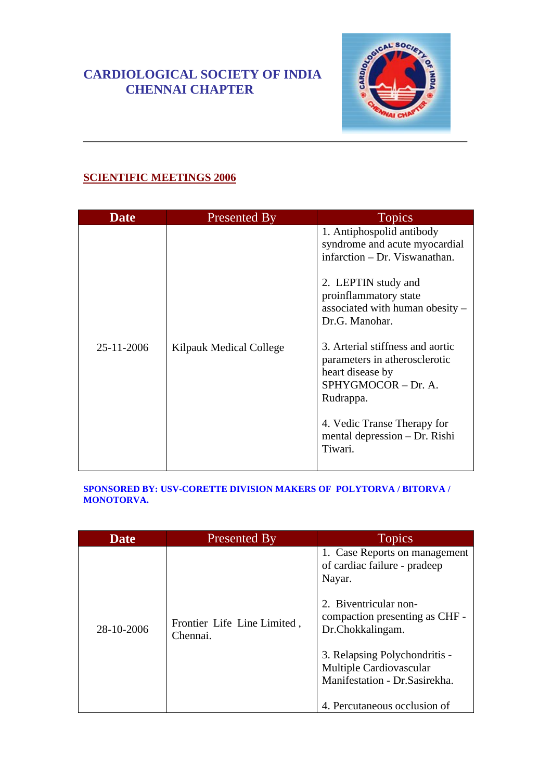### **CARDIOLOGICAL SOCIETY OF INDIA CHENNAI CHAPTER**



### **SCIENTIFIC MEETINGS 2006**

| <b>Date</b> | <b>Presented By</b>     | <b>Topics</b>                                                                                                                                                                                          |
|-------------|-------------------------|--------------------------------------------------------------------------------------------------------------------------------------------------------------------------------------------------------|
|             |                         | 1. Antiphospolid antibody<br>syndrome and acute myocardial<br>infarction – Dr. Viswanathan.<br>2. LEPTIN study and<br>proinflammatory state<br>associated with human obesity –<br>Dr.G. Manohar.       |
| 25-11-2006  | Kilpauk Medical College | 3. Arterial stiffness and aortic<br>parameters in atherosclerotic<br>heart disease by<br>SPHYGMOCOR - Dr. A.<br>Rudrappa.<br>4. Vedic Transe Therapy for<br>mental depression $-Dr$ . Rishi<br>Tiwari. |

#### **SPONSORED BY: USV-CORETTE DIVISION MAKERS OF POLYTORVA / BITORVA / MONOTORVA.**

| <b>Date</b> | Presented By                            | <b>Topics</b>                                                                                                                                                                                                                                                                        |
|-------------|-----------------------------------------|--------------------------------------------------------------------------------------------------------------------------------------------------------------------------------------------------------------------------------------------------------------------------------------|
| 28-10-2006  | Frontier Life Line Limited,<br>Chennai. | 1. Case Reports on management<br>of cardiac failure - pradeep<br>Nayar.<br>2. Biventricular non-<br>compaction presenting as CHF -<br>Dr.Chokkalingam.<br>3. Relapsing Polychondritis -<br>Multiple Cardiovascular<br>Manifestation - Dr. Sasirekha.<br>4. Percutaneous occlusion of |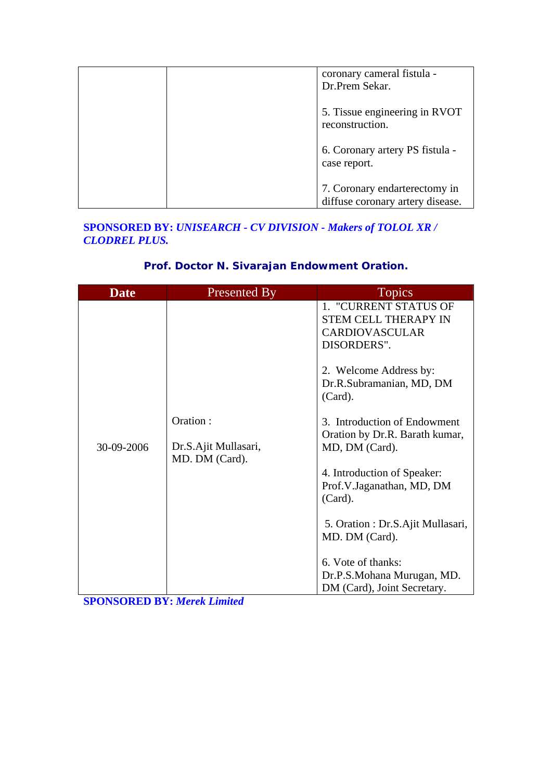| coronary cameral fistula -<br>Dr.Prem Sekar.                      |
|-------------------------------------------------------------------|
| 5. Tissue engineering in RVOT<br>reconstruction.                  |
| 6. Coronary artery PS fistula -<br>case report.                   |
| 7. Coronary endarterectomy in<br>diffuse coronary artery disease. |

#### **SPONSORED BY:** *UNISEARCH - CV DIVISION - Makers of TOLOL XR / CLODREL PLUS.*

### **Prof. Doctor N. Sivarajan Endowment Oration.**

| <b>Date</b> | <b>Presented By</b>                                | <b>Topics</b>                                                                                                                                                                                                                                                                                                            |
|-------------|----------------------------------------------------|--------------------------------------------------------------------------------------------------------------------------------------------------------------------------------------------------------------------------------------------------------------------------------------------------------------------------|
| 30-09-2006  | Oration:<br>Dr.S.Ajit Mullasari,<br>MD. DM (Card). | 1. "CURRENT STATUS OF<br><b>STEM CELL THERAPY IN</b><br><b>CARDIOVASCULAR</b><br>DISORDERS".<br>2. Welcome Address by:<br>Dr.R.Subramanian, MD, DM<br>(Card).<br>3. Introduction of Endowment<br>Oration by Dr.R. Barath kumar,<br>MD, DM (Card).<br>4. Introduction of Speaker:<br>Prof.V.Jaganathan, MD, DM<br>(Card). |
|             |                                                    | 5. Oration : Dr.S.Ajit Mullasari,<br>MD. DM (Card).                                                                                                                                                                                                                                                                      |
|             |                                                    | 6. Vote of thanks:                                                                                                                                                                                                                                                                                                       |
|             |                                                    | Dr.P.S.Mohana Murugan, MD.<br>DM (Card), Joint Secretary.                                                                                                                                                                                                                                                                |

**SPONSORED BY:** *Merek Limited*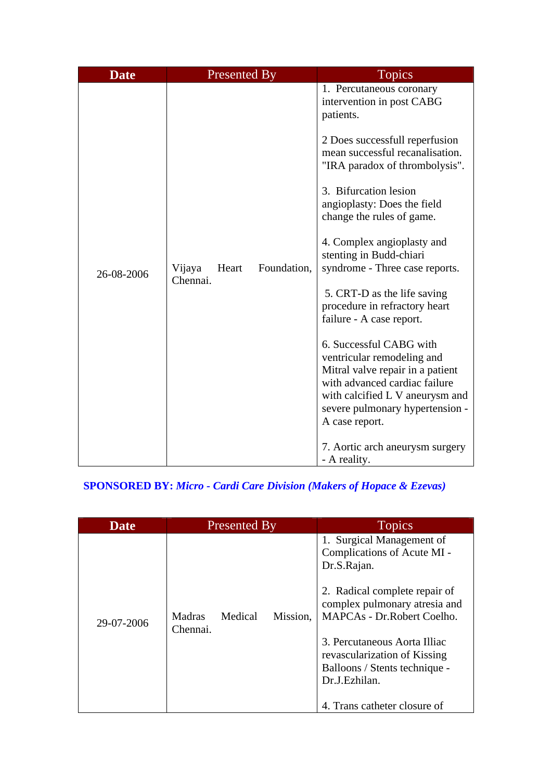| <b>Date</b> | <b>Presented By</b>         |             | <b>Topics</b>                                                                                                                                                                                                                                                                                                                                                                                                                                                                                                                                                                                                                                                                                                                  |
|-------------|-----------------------------|-------------|--------------------------------------------------------------------------------------------------------------------------------------------------------------------------------------------------------------------------------------------------------------------------------------------------------------------------------------------------------------------------------------------------------------------------------------------------------------------------------------------------------------------------------------------------------------------------------------------------------------------------------------------------------------------------------------------------------------------------------|
| 26-08-2006  | Vijaya<br>Heart<br>Chennai. | Foundation, | 1. Percutaneous coronary<br>intervention in post CABG<br>patients.<br>2 Does successfull reperfusion<br>mean successful recanalisation.<br>"IRA paradox of thrombolysis".<br>3. Bifurcation lesion<br>angioplasty: Does the field<br>change the rules of game.<br>4. Complex angioplasty and<br>stenting in Budd-chiari<br>syndrome - Three case reports.<br>5. CRT-D as the life saving<br>procedure in refractory heart<br>failure - A case report.<br>6. Successful CABG with<br>ventricular remodeling and<br>Mitral valve repair in a patient<br>with advanced cardiac failure<br>with calcified L V aneurysm and<br>severe pulmonary hypertension -<br>A case report.<br>7. Aortic arch aneurysm surgery<br>- A reality. |

# **SPONSORED BY:** *Micro - Cardi Care Division (Makers of Hopace & Ezevas)*

| <b>Date</b> | <b>Presented By</b>                       | <b>Topics</b>                                                                                                                                                                                                                                                                                                             |  |
|-------------|-------------------------------------------|---------------------------------------------------------------------------------------------------------------------------------------------------------------------------------------------------------------------------------------------------------------------------------------------------------------------------|--|
| 29-07-2006  | Madras<br>Medical<br>Mission,<br>Chennai. | 1. Surgical Management of<br>Complications of Acute MI -<br>Dr.S.Rajan.<br>2. Radical complete repair of<br>complex pulmonary atresia and<br>MAPCAs - Dr.Robert Coelho.<br>3. Percutaneous Aorta Illiac<br>revascularization of Kissing<br>Balloons / Stents technique -<br>Dr.J.Ezhilan.<br>4. Trans catheter closure of |  |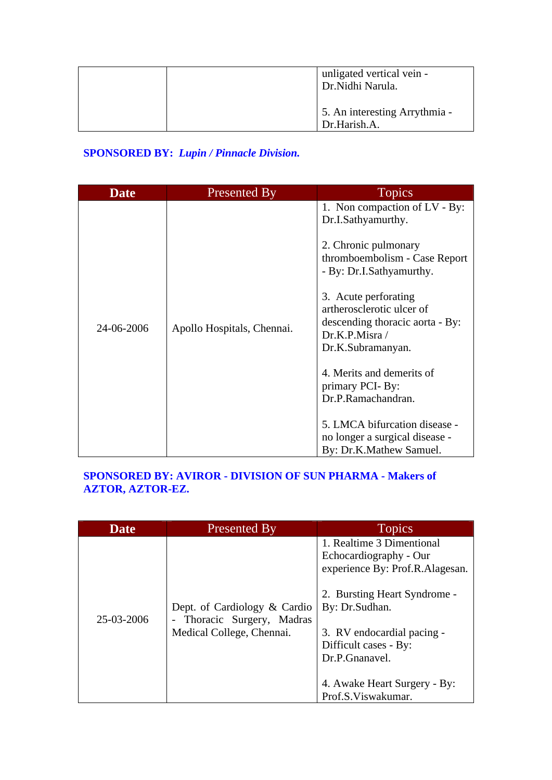| unligated vertical vein -<br>Dr. Nidhi Narula. |
|------------------------------------------------|
| 5. An interesting Arrythmia -<br>Dr.Harish.A.  |

# **SPONSORED BY:** *Lupin / Pinnacle Division.*

| Apollo Hospitals, Chennai. | 1. Non compaction of LV - By:<br>Dr.I.Sathyamurthy.<br>2. Chronic pulmonary<br>thromboembolism - Case Report<br>- By: Dr.I.Sathyamurthy.<br>3. Acute perforating<br>artherosclerotic ulcer of<br>descending thoracic aorta - By:<br>Dr.K.P.Misra/<br>Dr.K.Subramanyan. |
|----------------------------|------------------------------------------------------------------------------------------------------------------------------------------------------------------------------------------------------------------------------------------------------------------------|
|                            | 4. Merits and demerits of<br>primary PCI-By:<br>Dr.P.Ramachandran.<br>5. LMCA bifurcation disease -<br>no longer a surgical disease -<br>By: Dr.K.Mathew Samuel.                                                                                                       |
|                            |                                                                                                                                                                                                                                                                        |

### **SPONSORED BY: AVIROR - DIVISION OF SUN PHARMA - Makers of AZTOR, AZTOR-EZ.**

| <b>Date</b> | Presented By                                                                            | <b>Topics</b>                                                                                                                                                                                                                                                           |
|-------------|-----------------------------------------------------------------------------------------|-------------------------------------------------------------------------------------------------------------------------------------------------------------------------------------------------------------------------------------------------------------------------|
| 25-03-2006  | Dept. of Cardiology & Cardio<br>- Thoracic Surgery, Madras<br>Medical College, Chennai. | 1. Realtime 3 Dimentional<br>Echocardiography - Our<br>experience By: Prof.R.Alagesan.<br>2. Bursting Heart Syndrome -<br>By: Dr.Sudhan.<br>3. RV endocardial pacing -<br>Difficult cases - By:<br>Dr.P.Gnanavel.<br>4. Awake Heart Surgery - By:<br>Prof.S.Viswakumar. |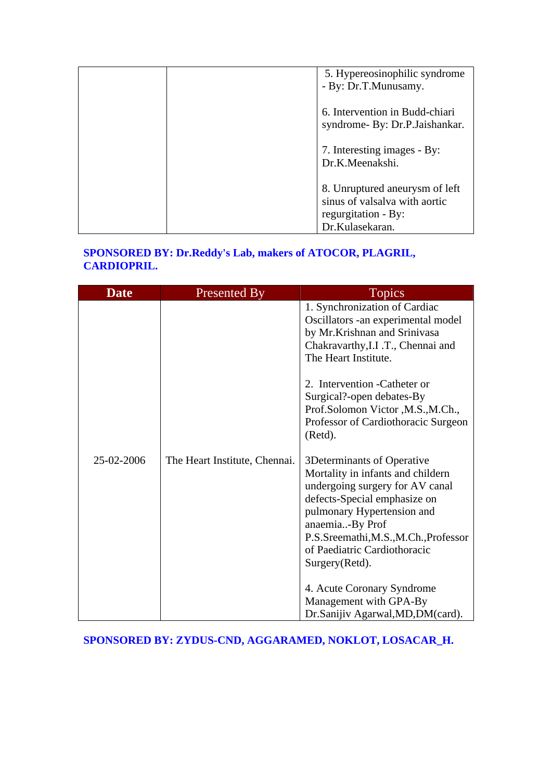| 5. Hypereosinophilic syndrome<br>- By: Dr.T.Munusamy. |
|-------------------------------------------------------|
|                                                       |
| 6. Intervention in Budd-chiari                        |
| syndrome- By: Dr.P.Jaishankar.                        |
| 7. Interesting images - By:                           |
| Dr.K.Meenakshi.                                       |
|                                                       |
| 8. Unruptured aneurysm of left                        |
| sinus of valsalva with aortic                         |
| regurgitation - By:                                   |
| Dr.Kulasekaran.                                       |

### **SPONSORED BY: Dr.Reddy's Lab, makers of ATOCOR, PLAGRIL, CARDIOPRIL.**

| <b>Date</b> | <b>Presented By</b>           | <b>Topics</b>                                                                                                                                                                                                                                                                                                          |
|-------------|-------------------------------|------------------------------------------------------------------------------------------------------------------------------------------------------------------------------------------------------------------------------------------------------------------------------------------------------------------------|
|             |                               | 1. Synchronization of Cardiac<br>Oscillators -an experimental model<br>by Mr.Krishnan and Srinivasa<br>Chakravarthy, I.I .T., Chennai and<br>The Heart Institute.<br>2. Intervention - Catheter or<br>Surgical?-open debates-By<br>Prof.Solomon Victor, M.S., M.Ch.,<br>Professor of Cardiothoracic Surgeon<br>(Retd). |
| 25-02-2006  | The Heart Institute, Chennai. | 3Determinants of Operative<br>Mortality in infants and childern<br>undergoing surgery for AV canal<br>defects-Special emphasize on<br>pulmonary Hypertension and<br>anaemia-By Prof<br>P.S.Sreemathi, M.S., M.Ch., Professor<br>of Paediatric Cardiothoracic<br>Surgery(Retd).<br>4. Acute Coronary Syndrome           |
|             |                               | Management with GPA-By<br>Dr.Sanijiv Agarwal, MD, DM(card).                                                                                                                                                                                                                                                            |

### **SPONSORED BY: ZYDUS-CND, AGGARAMED, NOKLOT, LOSACAR\_H.**